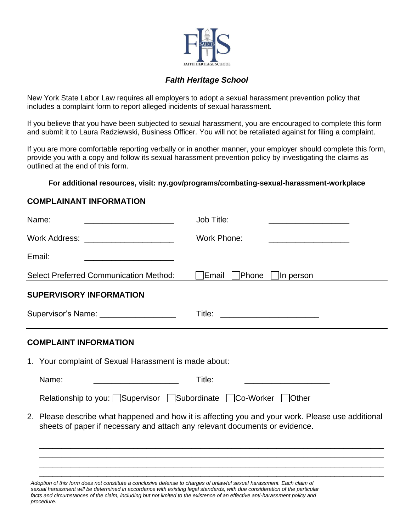

## *Faith Heritage School*

New York State Labor Law requires all employers to adopt a sexual harassment prevention policy that includes a complaint form to report alleged incidents of sexual harassment.

If you believe that you have been subjected to sexual harassment, you are encouraged to complete this form and submit it to Laura Radziewski, Business Officer*.* You will not be retaliated against for filing a complaint.

If you are more comfortable reporting verbally or in another manner, your employer should complete this form, provide you with a copy and follow its sexual harassment prevention policy by investigating the claims as outlined at the end of this form.

**For additional resources, visit: ny.gov/programs/combating-sexual-harassment-workplace**

## **COMPLAINANT INFORMATION**

| Name:                                                                                                                  | Job Title:                                                                                        |
|------------------------------------------------------------------------------------------------------------------------|---------------------------------------------------------------------------------------------------|
| Work Address: _____________________                                                                                    | Work Phone:                                                                                       |
| Email:<br>the control of the control of the control of the control of the control of                                   |                                                                                                   |
| <b>Select Preferred Communication Method:</b>                                                                          | Phone<br>Email<br>In person                                                                       |
| <b>SUPERVISORY INFORMATION</b>                                                                                         |                                                                                                   |
| Supervisor's Name: ____________________                                                                                |                                                                                                   |
| <b>COMPLAINT INFORMATION</b>                                                                                           |                                                                                                   |
| 1. Your complaint of Sexual Harassment is made about:                                                                  |                                                                                                   |
| Name:                                                                                                                  | Title:                                                                                            |
| Relationship to you: Supervisor Subordinate Co-Worker Other                                                            |                                                                                                   |
| sheets of paper if necessary and attach any relevant documents or evidence.                                            | 2. Please describe what happened and how it is affecting you and your work. Please use additional |
|                                                                                                                        |                                                                                                   |
|                                                                                                                        |                                                                                                   |
| Adoption of this form does not constitute a conclusive defense to charges of unlawful sexual harassment. Each claim of |                                                                                                   |

*sexual harassment will be determined in accordance with existing legal standards, with due consideration of the particular*  facts and circumstances of the claim, including but not limited to the existence of an effective anti-harassment policy and *procedure.*